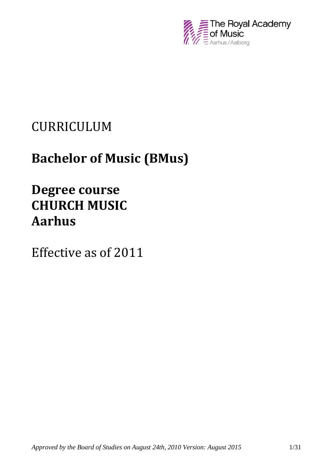

# CURRICULUM

# **Bachelor of Music (BMus)**

# **Degree course CHURCH MUSIC Aarhus**

Effective as of 2011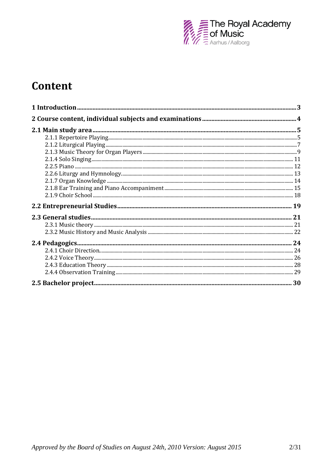

## Content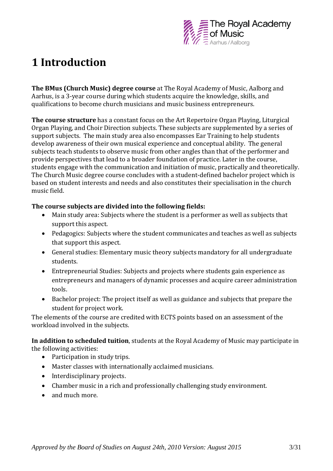

## **1 Introduction**

**The BMus (Church Music) degree course** at The Royal Academy of Music, Aalborg and Aarhus, is a 3-year course during which students acquire the knowledge, skills, and qualifications to become church musicians and music business entrepreneurs.

**The course structure** has a constant focus on the Art Repertoire Organ Playing, Liturgical Organ Playing, and Choir Direction subjects. These subjects are supplemented by a series of support subjects. The main study area also encompasses Ear Training to help students develop awareness of their own musical experience and conceptual ability. The general subjects teach students to observe music from other angles than that of the performer and provide perspectives that lead to a broader foundation of practice. Later in the course, students engage with the communication and initiation of music, practically and theoretically. The Church Music degree course concludes with a student-defined bachelor project which is based on student interests and needs and also constitutes their specialisation in the church music field.

#### **The course subjects are divided into the following fields:**

- Main study area: Subjects where the student is a performer as well as subjects that support this aspect.
- Pedagogics: Subjects where the student communicates and teaches as well as subjects that support this aspect.
- General studies: Elementary music theory subjects mandatory for all undergraduate students.
- Entrepreneurial Studies: Subjects and projects where students gain experience as entrepreneurs and managers of dynamic processes and acquire career administration tools.
- Bachelor project: The project itself as well as guidance and subjects that prepare the student for project work.

The elements of the course are credited with ECTS points based on an assessment of the workload involved in the subjects.

**In addition to scheduled tuition**, students at the Royal Academy of Music may participate in the following activities:

- Participation in study trips.
- Master classes with internationally acclaimed musicians.
- Interdisciplinary projects.
- Chamber music in a rich and professionally challenging study environment.
- and much more.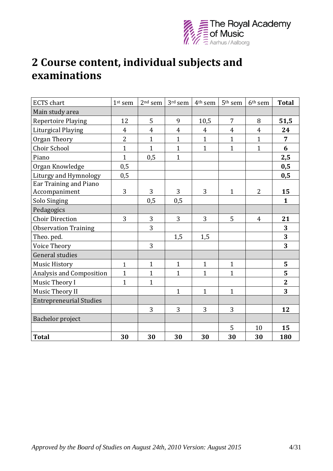

## **2 Course content, individual subjects and examinations**

| <b>ECTS</b> chart                       | 1st sem        | $2nd$ sem      | $3^{\rm rd}$ sem | 4 <sup>th</sup> sem | 5 <sup>th</sup> sem | 6 <sup>th</sup> sem | <b>Total</b>   |
|-----------------------------------------|----------------|----------------|------------------|---------------------|---------------------|---------------------|----------------|
| Main study area                         |                |                |                  |                     |                     |                     |                |
| <b>Repertoire Playing</b>               | 12             | 5              | 9                | 10,5                | $\overline{7}$      | 8                   | 51,5           |
| <b>Liturgical Playing</b>               | $\overline{4}$ | $\overline{4}$ | $\overline{4}$   | $\overline{4}$      | $\overline{4}$      | $\overline{4}$      | 24             |
| Organ Theory                            | $\overline{2}$ | $\mathbf{1}$   | $\mathbf{1}$     | $\mathbf{1}$        | $\mathbf{1}$        | $\mathbf{1}$        | $\overline{7}$ |
| Choir School                            | $\overline{1}$ | $\mathbf{1}$   | $\mathbf{1}$     | $\mathbf{1}$        | $\mathbf{1}$        | $\mathbf{1}$        | 6              |
| Piano                                   | $\mathbf{1}$   | 0,5            | $\mathbf{1}$     |                     |                     |                     | 2,5            |
| Organ Knowledge                         | 0,5            |                |                  |                     |                     |                     | 0,5            |
| Liturgy and Hymnology                   | 0,5            |                |                  |                     |                     |                     | 0,5            |
| Ear Training and Piano<br>Accompaniment | 3              | 3              | 3                | 3                   | $\mathbf{1}$        | $\overline{2}$      | 15             |
| Solo Singing                            |                | 0,5            | 0,5              |                     |                     |                     | $\mathbf{1}$   |
| Pedagogics                              |                |                |                  |                     |                     |                     |                |
| <b>Choir Direction</b>                  | 3              | 3              | 3                | 3                   | 5                   | $\overline{4}$      | 21             |
| <b>Observation Training</b>             |                | 3              |                  |                     |                     |                     | 3              |
| Theo. ped.                              |                |                | 1,5              | 1,5                 |                     |                     | 3              |
| Voice Theory                            |                | 3              |                  |                     |                     |                     | 3              |
| General studies                         |                |                |                  |                     |                     |                     |                |
| <b>Music History</b>                    | $\mathbf{1}$   | $\mathbf{1}$   | $\mathbf{1}$     | $\mathbf{1}$        | $\mathbf{1}$        |                     | 5              |
| <b>Analysis and Composition</b>         | $\mathbf{1}$   | $\mathbf{1}$   | $\mathbf{1}$     | $\mathbf{1}$        | $\mathbf{1}$        |                     | 5              |
| Music Theory I                          | $\mathbf{1}$   | $\mathbf{1}$   |                  |                     |                     |                     | $\overline{2}$ |
| Music Theory II                         |                |                | $\mathbf{1}$     | $\mathbf{1}$        | $\mathbf{1}$        |                     | 3              |
| <b>Entrepreneurial Studies</b>          |                |                |                  |                     |                     |                     |                |
|                                         |                | 3              | 3                | 3                   | 3                   |                     | 12             |
| Bachelor project                        |                |                |                  |                     |                     |                     |                |
|                                         |                |                |                  |                     | 5                   | 10                  | 15             |
| <b>Total</b>                            | 30             | 30             | 30               | 30                  | 30                  | 30                  | 180            |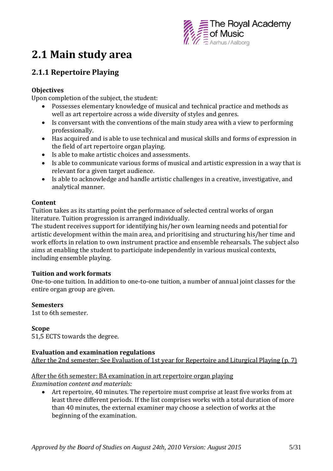

## **2.1 Main study area**

## **2.1.1 Repertoire Playing**

#### **Objectives**

Upon completion of the subject, the student:

- Possesses elementary knowledge of musical and technical practice and methods as well as art repertoire across a wide diversity of styles and genres.
- Is conversant with the conventions of the main study area with a view to performing professionally.
- Has acquired and is able to use technical and musical skills and forms of expression in the field of art repertoire organ playing.
- Is able to make artistic choices and assessments.
- Is able to communicate various forms of musical and artistic expression in a way that is relevant for a given target audience.
- Is able to acknowledge and handle artistic challenges in a creative, investigative, and analytical manner.

#### **Content**

Tuition takes as its starting point the performance of selected central works of organ literature. Tuition progression is arranged individually.

The student receives support for identifying his/her own learning needs and potential for artistic development within the main area, and prioritising and structuring his/her time and work efforts in relation to own instrument practice and ensemble rehearsals. The subject also aims at enabling the student to participate independently in various musical contexts, including ensemble playing.

#### **Tuition and work formats**

One-to-one tuition. In addition to one-to-one tuition, a number of annual joint classes for the entire organ group are given.

#### **Semesters**

1st to 6th semester.

#### **Scope**

51,5 ECTS towards the degree.

#### **Evaluation and examination regulations**

After the 2nd semester: See Evaluation of 1st year for Repertoire and Liturgical Playing (p. 7)

#### After the 6th semester: BA examination in art repertoire organ playing *Examination content and materials:*

 Art repertoire, 40 minutes. The repertoire must comprise at least five works from at least three different periods. If the list comprises works with a total duration of more than 40 minutes, the external examiner may choose a selection of works at the beginning of the examination.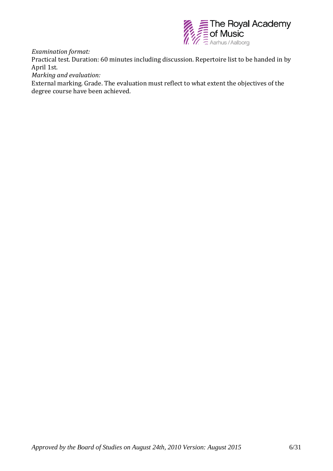

*Examination format:*

Practical test. Duration: 60 minutes including discussion. Repertoire list to be handed in by April 1st.

*Marking and evaluation:*

External marking. Grade. The evaluation must reflect to what extent the objectives of the degree course have been achieved.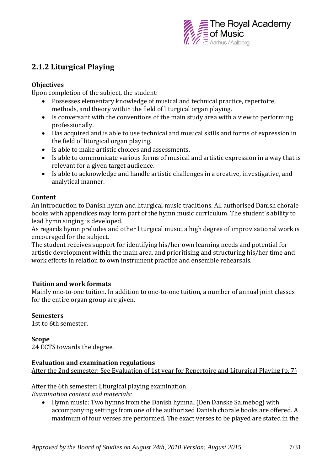

## **2.1.2 Liturgical Playing**

#### **Objectives**

Upon completion of the subject, the student:

- Possesses elementary knowledge of musical and technical practice, repertoire, methods, and theory within the field of liturgical organ playing.
- Is conversant with the conventions of the main study area with a view to performing professionally.
- Has acquired and is able to use technical and musical skills and forms of expression in the field of liturgical organ playing.
- Is able to make artistic choices and assessments.
- Is able to communicate various forms of musical and artistic expression in a way that is relevant for a given target audience.
- Is able to acknowledge and handle artistic challenges in a creative, investigative, and analytical manner.

#### **Content**

An introduction to Danish hymn and liturgical music traditions. All authorised Danish chorale books with appendices may form part of the hymn music curriculum. The student's ability to lead hymn singing is developed.

As regards hymn preludes and other liturgical music, a high degree of improvisational work is encouraged for the subject.

The student receives support for identifying his/her own learning needs and potential for artistic development within the main area, and prioritising and structuring his/her time and work efforts in relation to own instrument practice and ensemble rehearsals.

#### **Tuition and work formats**

Mainly one-to-one tuition. In addition to one-to-one tuition, a number of annual joint classes for the entire organ group are given.

#### **Semesters**

1st to 6th semester.

## **Scope**

24 ECTS towards the degree.

#### **Evaluation and examination regulations**

After the 2nd semester: See Evaluation of 1st year for Repertoire and Liturgical Playing (p. 7)

#### After the 6th semester: Liturgical playing examination

*Examination content and materials:*

 Hymn music: Two hymns from the Danish hymnal (Den Danske Salmebog) with accompanying settings from one of the authorized Danish chorale books are offered. A maximum of four verses are performed. The exact verses to be played are stated in the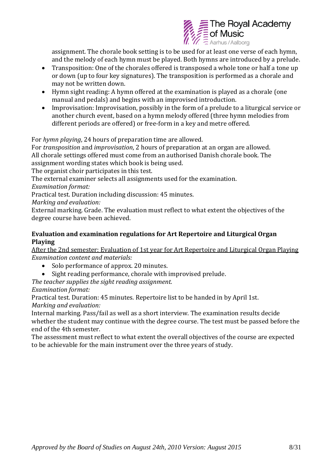

assignment. The chorale book setting is to be used for at least one verse of each hymn, and the melody of each hymn must be played. Both hymns are introduced by a prelude.

- Transposition: One of the chorales offered is transposed a whole tone or half a tone up or down (up to four key signatures). The transposition is performed as a chorale and may not be written down.
- Hymn sight reading: A hymn offered at the examination is played as a chorale (one manual and pedals) and begins with an improvised introduction.
- Improvisation: Improvisation, possibly in the form of a prelude to a liturgical service or another church event, based on a hymn melody offered (three hymn melodies from different periods are offered) or free-form in a key and metre offered.

For *hymn playing*, 24 hours of preparation time are allowed.

For *transposition* and *improvisation*, 2 hours of preparation at an organ are allowed. All chorale settings offered must come from an authorised Danish chorale book. The assignment wording states which book is being used.

The organist choir participates in this test.

The external examiner selects all assignments used for the examination.

*Examination format:*

Practical test. Duration including discussion: 45 minutes.

*Marking and evaluation:*

External marking. Grade. The evaluation must reflect to what extent the objectives of the degree course have been achieved.

#### **Evaluation and examination regulations for Art Repertoire and Liturgical Organ Playing**

After the 2nd semester: Evaluation of 1st year for Art Repertoire and Liturgical Organ Playing *Examination content and materials:*

- Solo performance of approx. 20 minutes.
- Sight reading performance, chorale with improvised prelude.
- *The teacher supplies the sight reading assignment.*

### *Examination format:*

Practical test. Duration: 45 minutes. Repertoire list to be handed in by April 1st. *Marking and evaluation:*

Internal marking. Pass/fail as well as a short interview. The examination results decide whether the student may continue with the degree course. The test must be passed before the end of the 4th semester.

The assessment must reflect to what extent the overall objectives of the course are expected to be achievable for the main instrument over the three years of study.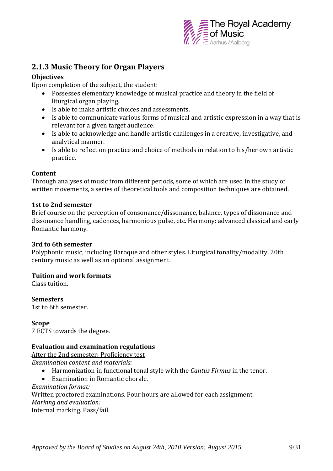

### **2.1.3 Music Theory for Organ Players**

#### **Objectives**

Upon completion of the subject, the student:

- Possesses elementary knowledge of musical practice and theory in the field of liturgical organ playing.
- Is able to make artistic choices and assessments.
- Is able to communicate various forms of musical and artistic expression in a way that is relevant for a given target audience.
- Is able to acknowledge and handle artistic challenges in a creative, investigative, and analytical manner.
- Is able to reflect on practice and choice of methods in relation to his/her own artistic practice.

#### **Content**

Through analyses of music from different periods, some of which are used in the study of written movements, a series of theoretical tools and composition techniques are obtained.

#### **1st to 2nd semester**

Brief course on the perception of consonance/dissonance, balance, types of dissonance and dissonance handling, cadences, harmonious pulse, etc. Harmony: advanced classical and early Romantic harmony.

#### **3rd to 6th semester**

Polyphonic music, including Baroque and other styles. Liturgical tonality/modality, 20th century music as well as an optional assignment.

#### **Tuition and work formats**

Class tuition.

**Semesters** 1st to 6th semester.

#### **Scope**

7 ECTS towards the degree.

#### **Evaluation and examination regulations**

After the 2nd semester: Proficiency test *Examination content and materials:*

- Harmonization in functional tonal style with the *Cantus Firmus* in the tenor.
- Examination in Romantic chorale.

*Examination format:*

Written proctored examinations. Four hours are allowed for each assignment.

*Marking and evaluation:*

Internal marking. Pass/fail.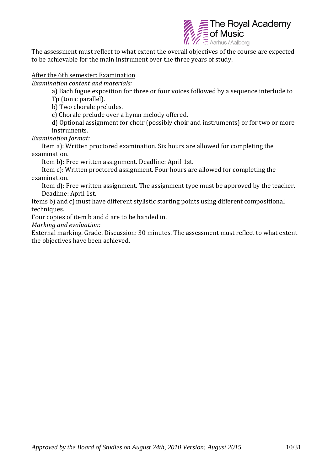

The assessment must reflect to what extent the overall objectives of the course are expected to be achievable for the main instrument over the three years of study.

#### After the 6th semester: Examination

*Examination content and materials:*

a) Bach fugue exposition for three or four voices followed by a sequence interlude to Tp (tonic parallel).

b) Two chorale preludes.

c) Chorale prelude over a hymn melody offered.

d) Optional assignment for choir (possibly choir and instruments) or for two or more instruments.

*Examination format:*

Item a): Written proctored examination. Six hours are allowed for completing the examination.

Item b): Free written assignment. Deadline: April 1st.

Item c): Written proctored assignment. Four hours are allowed for completing the examination.

Item d): Free written assignment. The assignment type must be approved by the teacher. Deadline: April 1st.

Items b) and c) must have different stylistic starting points using different compositional techniques.

Four copies of item b and d are to be handed in.

*Marking and evaluation:*

External marking. Grade. Discussion: 30 minutes. The assessment must reflect to what extent the objectives have been achieved.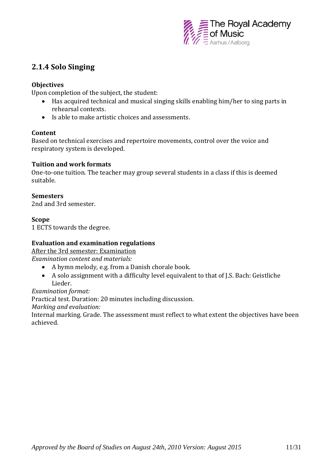

## **2.1.4 Solo Singing**

#### **Objectives**

Upon completion of the subject, the student:

- Has acquired technical and musical singing skills enabling him/her to sing parts in rehearsal contexts.
- Is able to make artistic choices and assessments.

#### **Content**

Based on technical exercises and repertoire movements, control over the voice and respiratory system is developed.

#### **Tuition and work formats**

One-to-one tuition. The teacher may group several students in a class if this is deemed suitable.

#### **Semesters**

2nd and 3rd semester.

#### **Scope**

1 ECTS towards the degree.

#### **Evaluation and examination regulations**

After the 3rd semester: Examination

*Examination content and materials:*

- A hymn melody, e.g. from a Danish chorale book.
- A solo assignment with a difficulty level equivalent to that of J.S. Bach: Geistliche Lieder.

#### *Examination format:*

Practical test. Duration: 20 minutes including discussion.

*Marking and evaluation:*

Internal marking. Grade. The assessment must reflect to what extent the objectives have been achieved.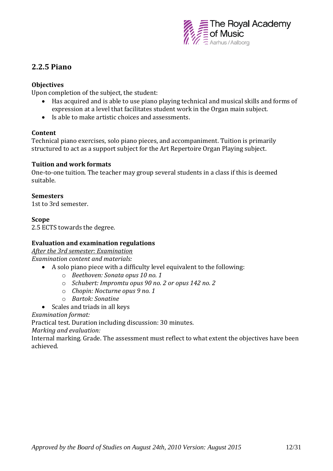

### **2.2.5 Piano**

#### **Objectives**

Upon completion of the subject, the student:

- Has acquired and is able to use piano playing technical and musical skills and forms of expression at a level that facilitates student work in the Organ main subject.
- Is able to make artistic choices and assessments.

#### **Content**

Technical piano exercises, solo piano pieces, and accompaniment. Tuition is primarily structured to act as a support subject for the Art Repertoire Organ Playing subject.

#### **Tuition and work formats**

One-to-one tuition. The teacher may group several students in a class if this is deemed suitable.

#### **Semesters**

1st to 3rd semester.

#### **Scope**

2.5 ECTS towards the degree.

#### **Evaluation and examination regulations**

*After the 3rd semester: Examination*

*Examination content and materials:*

- A solo piano piece with a difficulty level equivalent to the following:
	- o *Beethoven: Sonata opus 10 no. 1*
	- o *Schubert: Impromtu opus 90 no. 2 or opus 142 no. 2*
	- o *Chopin: Nocturne opus 9 no. 1*
	- o *Bartok: Sonatine*
- Scales and triads in all keys

*Examination format:*

Practical test. Duration including discussion: 30 minutes.

*Marking and evaluation:*

Internal marking. Grade. The assessment must reflect to what extent the objectives have been achieved.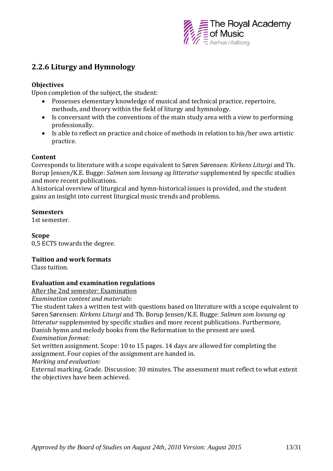

## **2.2.6 Liturgy and Hymnology**

#### **Objectives**

Upon completion of the subject, the student:

- Possesses elementary knowledge of musical and technical practice, repertoire, methods, and theory within the field of liturgy and hymnology.
- Is conversant with the conventions of the main study area with a view to performing professionally.
- Is able to reflect on practice and choice of methods in relation to his/her own artistic practice.

#### **Content**

Corresponds to literature with a scope equivalent to Søren Sørensen: *Kirkens Liturgi* and Th. Borup Jensen/K.E. Bugge: *Salmen som lovsang og litteratur* supplemented by specific studies and more recent publications.

A historical overview of liturgical and hymn-historical issues is provided, and the student gains an insight into current liturgical music trends and problems.

#### **Semesters**

1st semester.

#### **Scope**

0,5 ECTS towards the degree.

#### **Tuition and work formats**

Class tuition.

#### **Evaluation and examination regulations**

After the 2nd semester: Examination

*Examination content and materials:* 

The student takes a written test with questions based on literature with a scope equivalent to Søren Sørensen: *Kirkens Liturgi* and Th. Borup Jensen/K.E. Bugge: *Salmen som lovsang og litteratur* supplemented by specific studies and more recent publications. Furthermore, Danish hymn and melody books from the Reformation to the present are used. *Examination format:*

Set written assignment. Scope: 10 to 15 pages. 14 days are allowed for completing the assignment. Four copies of the assignment are handed in.

*Marking and evaluation:*

External marking. Grade. Discussion: 30 minutes. The assessment must reflect to what extent the objectives have been achieved.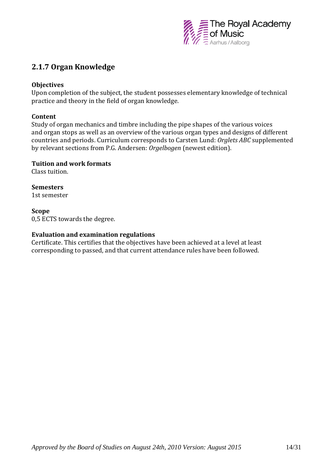

### **2.1.7 Organ Knowledge**

#### **Objectives**

Upon completion of the subject, the student possesses elementary knowledge of technical practice and theory in the field of organ knowledge.

#### **Content**

Study of organ mechanics and timbre including the pipe shapes of the various voices and organ stops as well as an overview of the various organ types and designs of different countries and periods. Curriculum corresponds to Carsten Lund: *Orglets ABC* supplemented by relevant sections from P.G. Andersen: *Orgelbogen* (newest edition).

#### **Tuition and work formats**

Class tuition.

#### **Semesters**

1st semester

#### **Scope**

0,5 ECTS towards the degree.

#### **Evaluation and examination regulations**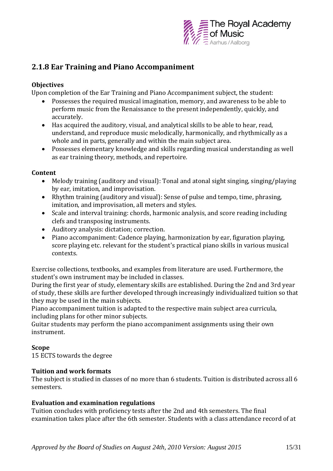

## **2.1.8 Ear Training and Piano Accompaniment**

#### **Objectives**

Upon completion of the Ear Training and Piano Accompaniment subject, the student:

- Possesses the required musical imagination, memory, and awareness to be able to perform music from the Renaissance to the present independently, quickly, and accurately.
- Has acquired the auditory, visual, and analytical skills to be able to hear, read, understand, and reproduce music melodically, harmonically, and rhythmically as a whole and in parts, generally and within the main subject area.
- Possesses elementary knowledge and skills regarding musical understanding as well as ear training theory, methods, and repertoire.

#### **Content**

- Melody training (auditory and visual): Tonal and atonal sight singing, singing/playing by ear, imitation, and improvisation.
- Rhythm training (auditory and visual): Sense of pulse and tempo, time, phrasing, imitation, and improvisation, all meters and styles.
- Scale and interval training: chords, harmonic analysis, and score reading including clefs and transposing instruments.
- Auditory analysis: dictation; correction.
- Piano accompaniment: Cadence playing, harmonization by ear, figuration playing, score playing etc. relevant for the student's practical piano skills in various musical contexts.

Exercise collections, textbooks, and examples from literature are used. Furthermore, the student's own instrument may be included in classes.

During the first year of study, elementary skills are established. During the 2nd and 3rd year of study, these skills are further developed through increasingly individualized tuition so that they may be used in the main subjects.

Piano accompaniment tuition is adapted to the respective main subject area curricula, including plans for other minor subjects.

Guitar students may perform the piano accompaniment assignments using their own instrument.

#### **Scope**

15 ECTS towards the degree

#### **Tuition and work formats**

The subject is studied in classes of no more than 6 students. Tuition is distributed across all 6 semesters.

#### **Evaluation and examination regulations**

Tuition concludes with proficiency tests after the 2nd and 4th semesters. The final examination takes place after the 6th semester. Students with a class attendance record of at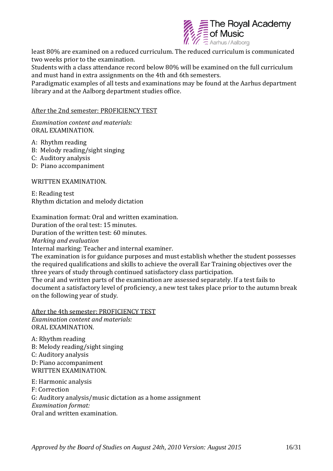

least 80% are examined on a reduced curriculum. The reduced curriculum is communicated two weeks prior to the examination.

Students with a class attendance record below 80% will be examined on the full curriculum and must hand in extra assignments on the 4th and 6th semesters.

Paradigmatic examples of all tests and examinations may be found at the Aarhus department library and at the Aalborg department studies office.

#### After the 2nd semester: PROFICIENCY TEST

*Examination content and materials:*  ORAL EXAMINATION.

A: Rhythm reading

- B: Melody reading/sight singing
- C: Auditory analysis
- D: Piano accompaniment

WRITTEN EXAMINATION.

E: Reading test Rhythm dictation and melody dictation

Examination format: Oral and written examination.

Duration of the oral test: 15 minutes.

Duration of the written test: 60 minutes.

*Marking and evaluation*

Internal marking: Teacher and internal examiner.

The examination is for guidance purposes and must establish whether the student possesses the required qualifications and skills to achieve the overall Ear Training objectives over the three years of study through continued satisfactory class participation.

The oral and written parts of the examination are assessed separately. If a test fails to document a satisfactory level of proficiency, a new test takes place prior to the autumn break on the following year of study.

After the 4th semester: PROFICIENCY TEST *Examination content and materials:*  ORAL EXAMINATION.

A: Rhythm reading B: Melody reading/sight singing C: Auditory analysis D: Piano accompaniment WRITTEN EXAMINATION.

E: Harmonic analysis F: Correction G: Auditory analysis/music dictation as a home assignment *Examination format:* Oral and written examination.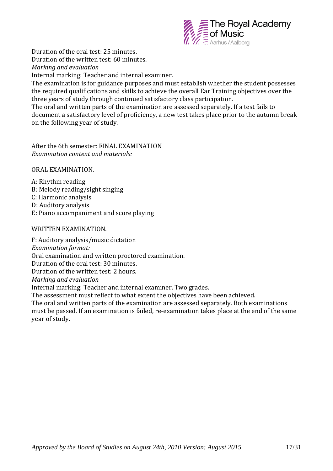

Duration of the oral test: 25 minutes. Duration of the written test: 60 minutes.

*Marking and evaluation*

Internal marking: Teacher and internal examiner.

The examination is for guidance purposes and must establish whether the student possesses the required qualifications and skills to achieve the overall Ear Training objectives over the three years of study through continued satisfactory class participation.

The oral and written parts of the examination are assessed separately. If a test fails to document a satisfactory level of proficiency, a new test takes place prior to the autumn break on the following year of study.

#### After the 6th semester: FINAL EXAMINATION *Examination content and materials:*

ORAL EXAMINATION.

A: Rhythm reading B: Melody reading/sight singing C: Harmonic analysis D: Auditory analysis E: Piano accompaniment and score playing

#### WRITTEN EXAMINATION.

F: Auditory analysis/music dictation *Examination format:*  Oral examination and written proctored examination. Duration of the oral test: 30 minutes. Duration of the written test: 2 hours. *Marking and evaluation* Internal marking: Teacher and internal examiner. Two grades. The assessment must reflect to what extent the objectives have been achieved. The oral and written parts of the examination are assessed separately. Both examinations must be passed. If an examination is failed, re-examination takes place at the end of the same year of study.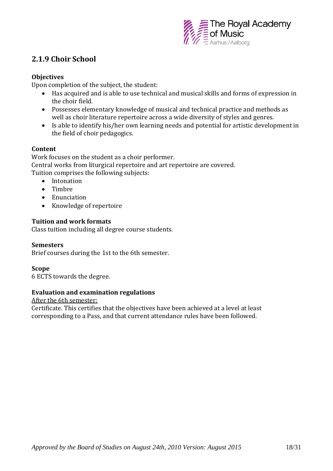

## **2.1.9 Choir School**

#### **Objectives**

Upon completion of the subject, the student:

- Has acquired and is able to use technical and musical skills and forms of expression in the choir field.
- Possesses elementary knowledge of musical and technical practice and methods as well as choir literature repertoire across a wide diversity of styles and genres.
- Is able to identify his/her own learning needs and potential for artistic development in the field of choir pedagogics.

#### **Content**

Work focuses on the student as a choir performer. Central works from liturgical repertoire and art repertoire are covered. Tuition comprises the following subjects:

- Intonation
- Timbre
- Enunciation
- Knowledge of repertoire

#### **Tuition and work formats**

Class tuition including all degree course students.

#### **Semesters**

Brief courses during the 1st to the 6th semester.

#### **Scope**

6 ECTS towards the degree.

#### **Evaluation and examination regulations**

After the 6th semester: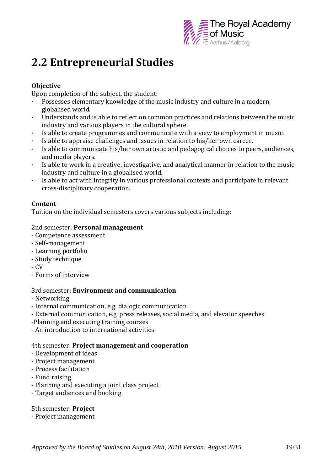

## **2.2 Entrepreneurial Studies**

#### **Objective**

Upon completion of the subject, the student:

- $\cdot$  Possesses elementary knowledge of the music industry and culture in a modern, globalised world.
- · Understands and is able to reflect on common practices and relations between the music industry and various players in the cultural sphere.
- · Is able to create programmes and communicate with a view to employment in music.
- Is able to appraise challenges and issues in relation to his/her own career.
- · Is able to communicate his/her own artistic and pedagogical choices to peers, audiences, and media players.
- · Is able to work in a creative, investigative, and analytical manner in relation to the music industry and culture in a globalised world.
- · Is able to act with integrity in various professional contexts and participate in relevant cross-disciplinary cooperation.

#### **Content**

Tuition on the individual semesters covers various subjects including:

#### 2nd semester: **Personal management**

- Competence assessment
- Self-management
- Learning portfolio
- Study technique
- CV
- Forms of interview

#### 3rd semester: **Environment and communication**

- Networking
- Internal communication, e.g. dialogic communication
- External communication, e.g. press releases, social media, and elevator speeches
- -Planning and executing training courses
- An introduction to international activities

#### 4th semester: **Project management and cooperation**

- Development of ideas
- Project management
- Process facilitation
- Fund raising
- Planning and executing a joint class project
- Target audiences and booking

5th semester: **Project**

- Project management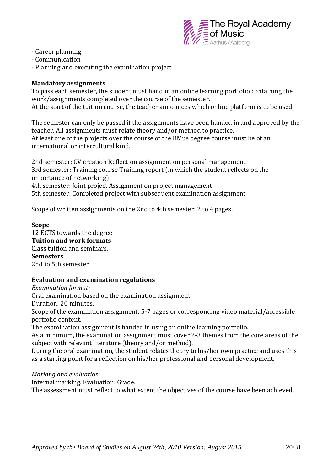

- Career planning
- Communication
- Planning and executing the examination project

#### **Mandatory assignments**

To pass each semester, the student must hand in an online learning portfolio containing the work/assignments completed over the course of the semester. At the start of the tuition course, the teacher announces which online platform is to be used.

The semester can only be passed if the assignments have been handed in and approved by the teacher. All assignments must relate theory and/or method to practice. At least one of the projects over the course of the BMus degree course must be of an international or intercultural kind.

2nd semester: CV creation Reflection assignment on personal management 3rd semester: Training course Training report (in which the student reflects on the importance of networking) 4th semester: Joint project Assignment on project management 5th semester: Completed project with subsequent examination assignment

Scope of written assignments on the 2nd to 4th semester: 2 to 4 pages.

#### **Scope**

12 ECTS towards the degree **Tuition and work formats** Class tuition and seminars. **Semesters** 2nd to 5th semester

#### **Evaluation and examination regulations**

*Examination format:*

Oral examination based on the examination assignment.

Duration: 20 minutes.

Scope of the examination assignment: 5-7 pages or corresponding video material/accessible portfolio content.

The examination assignment is handed in using an online learning portfolio.

As a minimum, the examination assignment must cover 2-3 themes from the core areas of the subject with relevant literature (theory and/or method).

During the oral examination, the student relates theory to his/her own practice and uses this as a starting point for a reflection on his/her professional and personal development.

*Marking and evaluation:*

Internal marking. Evaluation: Grade.

The assessment must reflect to what extent the objectives of the course have been achieved.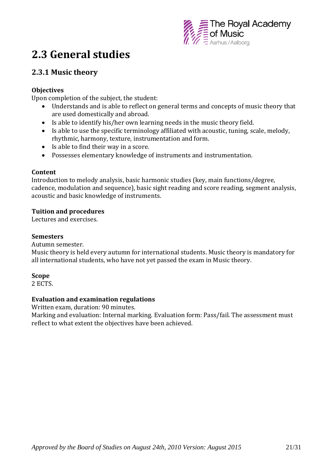

## **2.3 General studies**

## **2.3.1 Music theory**

#### **Objectives**

Upon completion of the subject, the student:

- Understands and is able to reflect on general terms and concepts of music theory that are used domestically and abroad.
- Is able to identify his/her own learning needs in the music theory field.
- Is able to use the specific terminology affiliated with acoustic, tuning, scale, melody, rhythmic, harmony, texture, instrumentation and form.
- Is able to find their way in a score.
- Possesses elementary knowledge of instruments and instrumentation.

#### **Content**

Introduction to melody analysis, basic harmonic studies (key, main functions/degree, cadence, modulation and sequence), basic sight reading and score reading, segment analysis, acoustic and basic knowledge of instruments.

#### **Tuition and procedures**

Lectures and exercises.

#### **Semesters**

Autumn semester.

Music theory is held every autumn for international students. Music theory is mandatory for all international students, who have not yet passed the exam in Music theory.

#### **Scope**

2 ECTS.

#### **Evaluation and examination regulations**

Written exam, duration: 90 minutes.

Marking and evaluation: Internal marking. Evaluation form: Pass/fail. The assessment must reflect to what extent the objectives have been achieved.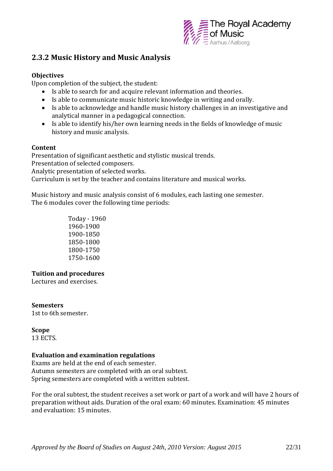

### **2.3.2 Music History and Music Analysis**

#### **Objectives**

Upon completion of the subject, the student:

- Is able to search for and acquire relevant information and theories.
- Is able to communicate music historic knowledge in writing and orally.
- Is able to acknowledge and handle music history challenges in an investigative and analytical manner in a pedagogical connection.
- Is able to identify his/her own learning needs in the fields of knowledge of music history and music analysis.

#### **Content**

Presentation of significant aesthetic and stylistic musical trends. Presentation of selected composers. Analytic presentation of selected works. Curriculum is set by the teacher and contains literature and musical works.

Music history and music analysis consist of 6 modules, each lasting one semester. The 6 modules cover the following time periods:

> Today - 1960 1960-1900 1900-1850 1850-1800 1800-1750 1750-1600

#### **Tuition and procedures**

Lectures and exercises.

#### **Semesters**

1st to 6th semester.

#### **Scope**

13 ECTS.

#### **Evaluation and examination regulations**

Exams are held at the end of each semester. Autumn semesters are completed with an oral subtest. Spring semesters are completed with a written subtest.

For the oral subtest, the student receives a set work or part of a work and will have 2 hours of preparation without aids. Duration of the oral exam: 60 minutes. Examination: 45 minutes and evaluation: 15 minutes.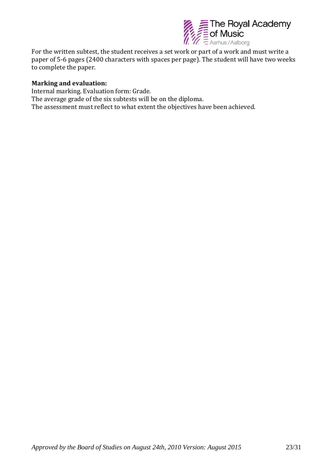

For the written subtest, the student receives a set work or part of a work and must write a paper of 5-6 pages (2400 characters with spaces per page). The student will have two weeks to complete the paper.

#### **Marking and evaluation:**

Internal marking. Evaluation form: Grade. The average grade of the six subtests will be on the diploma. The assessment must reflect to what extent the objectives have been achieved.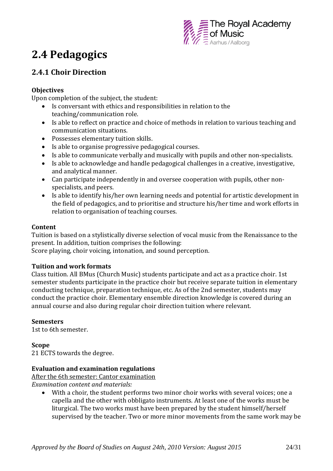

## **2.4 Pedagogics**

## **2.4.1 Choir Direction**

#### **Objectives**

Upon completion of the subject, the student:

- Is conversant with ethics and responsibilities in relation to the teaching/communication role.
- Is able to reflect on practice and choice of methods in relation to various teaching and communication situations.
- Possesses elementary tuition skills.
- Is able to organise progressive pedagogical courses.
- Is able to communicate verbally and musically with pupils and other non-specialists.
- Is able to acknowledge and handle pedagogical challenges in a creative, investigative, and analytical manner.
- Can participate independently in and oversee cooperation with pupils, other nonspecialists, and peers.
- Is able to identify his/her own learning needs and potential for artistic development in the field of pedagogics, and to prioritise and structure his/her time and work efforts in relation to organisation of teaching courses.

#### **Content**

Tuition is based on a stylistically diverse selection of vocal music from the Renaissance to the present. In addition, tuition comprises the following:

Score playing, choir voicing, intonation, and sound perception.

#### **Tuition and work formats**

Class tuition. All BMus (Church Music) students participate and act as a practice choir. 1st semester students participate in the practice choir but receive separate tuition in elementary conducting technique, preparation technique, etc. As of the 2nd semester, students may conduct the practice choir. Elementary ensemble direction knowledge is covered during an annual course and also during regular choir direction tuition where relevant.

#### **Semesters**

1st to 6th semester.

#### **Scope**

21 ECTS towards the degree.

#### **Evaluation and examination regulations**

After the 6th semester: Cantor examination *Examination content and materials:*

 With a choir, the student performs two minor choir works with several voices; one a capella and the other with obbligato instruments. At least one of the works must be liturgical. The two works must have been prepared by the student himself/herself supervised by the teacher. Two or more minor movements from the same work may be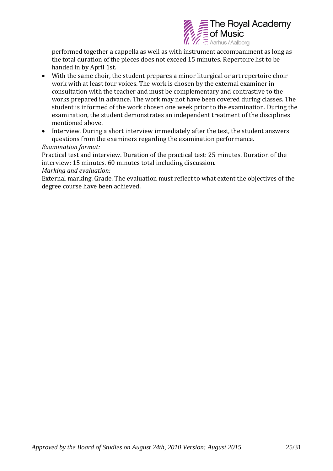

performed together a cappella as well as with instrument accompaniment as long as the total duration of the pieces does not exceed 15 minutes. Repertoire list to be handed in by April 1st.

- With the same choir, the student prepares a minor liturgical or art repertoire choir work with at least four voices. The work is chosen by the external examiner in consultation with the teacher and must be complementary and contrastive to the works prepared in advance. The work may not have been covered during classes. The student is informed of the work chosen one week prior to the examination. During the examination, the student demonstrates an independent treatment of the disciplines mentioned above.
- Interview. During a short interview immediately after the test, the student answers questions from the examiners regarding the examination performance.

#### *Examination format:*

Practical test and interview. Duration of the practical test: 25 minutes. Duration of the interview: 15 minutes. 60 minutes total including discussion.

#### *Marking and evaluation:*

External marking. Grade. The evaluation must reflect to what extent the objectives of the degree course have been achieved.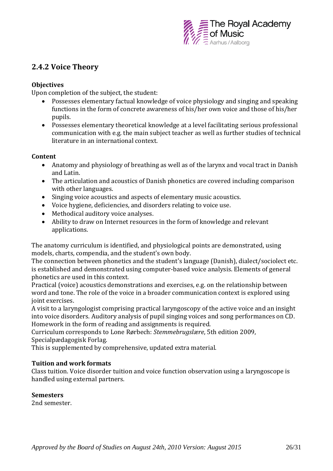

### **2.4.2 Voice Theory**

#### **Objectives**

Upon completion of the subject, the student:

- Possesses elementary factual knowledge of voice physiology and singing and speaking functions in the form of concrete awareness of his/her own voice and those of his/her pupils.
- Possesses elementary theoretical knowledge at a level facilitating serious professional communication with e.g. the main subject teacher as well as further studies of technical literature in an international context.

#### **Content**

- Anatomy and physiology of breathing as well as of the larynx and vocal tract in Danish and Latin.
- The articulation and acoustics of Danish phonetics are covered including comparison with other languages.
- Singing voice acoustics and aspects of elementary music acoustics.
- Voice hygiene, deficiencies, and disorders relating to voice use.
- Methodical auditory voice analyses.
- Ability to draw on Internet resources in the form of knowledge and relevant applications.

The anatomy curriculum is identified, and physiological points are demonstrated, using models, charts, compendia, and the student's own body.

The connection between phonetics and the student's language (Danish), dialect/sociolect etc. is established and demonstrated using computer-based voice analysis. Elements of general phonetics are used in this context.

Practical (voice) acoustics demonstrations and exercises, e.g. on the relationship between word and tone. The role of the voice in a broader communication context is explored using joint exercises.

A visit to a laryngologist comprising practical laryngoscopy of the active voice and an insight into voice disorders. Auditory analysis of pupil singing voices and song performances on CD. Homework in the form of reading and assignments is required.

Curriculum corresponds to Lone Rørbech: *Stemmebrugslære*, 5th edition 2009, Specialpædagogisk Forlag.

This is supplemented by comprehensive, updated extra material.

#### **Tuition and work formats**

Class tuition. Voice disorder tuition and voice function observation using a laryngoscope is handled using external partners.

#### **Semesters**

2nd semester.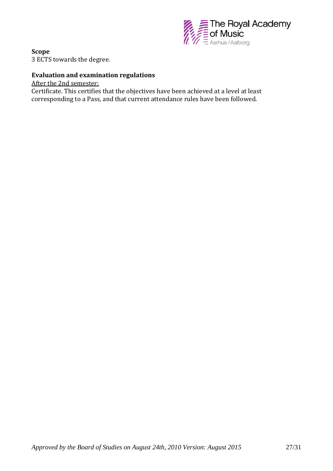

**Scope** 3 ECTS towards the degree.

#### **Evaluation and examination regulations**

After the 2nd semester: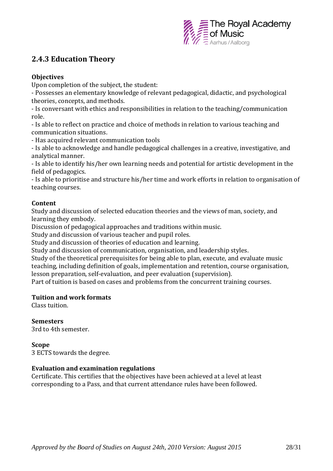

## **2.4.3 Education Theory**

#### **Objectives**

Upon completion of the subject, the student:

- Possesses an elementary knowledge of relevant pedagogical, didactic, and psychological theories, concepts, and methods.

- Is conversant with ethics and responsibilities in relation to the teaching/communication role.

- Is able to reflect on practice and choice of methods in relation to various teaching and communication situations.

- Has acquired relevant communication tools

- Is able to acknowledge and handle pedagogical challenges in a creative, investigative, and analytical manner.

- Is able to identify his/her own learning needs and potential for artistic development in the field of pedagogics.

- Is able to prioritise and structure his/her time and work efforts in relation to organisation of teaching courses.

#### **Content**

Study and discussion of selected education theories and the views of man, society, and learning they embody.

Discussion of pedagogical approaches and traditions within music.

Study and discussion of various teacher and pupil roles.

Study and discussion of theories of education and learning.

Study and discussion of communication, organisation, and leadership styles.

Study of the theoretical prerequisites for being able to plan, execute, and evaluate music teaching, including definition of goals, implementation and retention, course organisation, lesson preparation, self-evaluation, and peer evaluation (supervision).

Part of tuition is based on cases and problems from the concurrent training courses.

#### **Tuition and work formats**

Class tuition.

**Semesters** 

3rd to 4th semester.

#### **Scope**

3 ECTS towards the degree.

#### **Evaluation and examination regulations**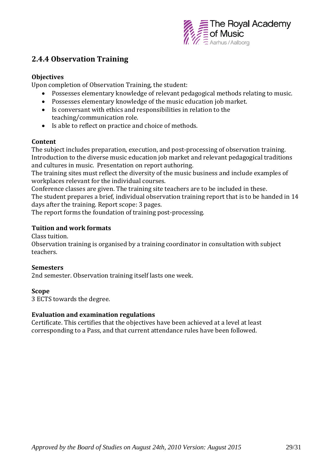

### **2.4.4 Observation Training**

#### **Objectives**

Upon completion of Observation Training, the student:

- Possesses elementary knowledge of relevant pedagogical methods relating to music.
- Possesses elementary knowledge of the music education job market.
- Is conversant with ethics and responsibilities in relation to the teaching/communication role.
- Is able to reflect on practice and choice of methods.

#### **Content**

The subject includes preparation, execution, and post-processing of observation training. Introduction to the diverse music education job market and relevant pedagogical traditions and cultures in music. Presentation on report authoring.

The training sites must reflect the diversity of the music business and include examples of workplaces relevant for the individual courses.

Conference classes are given. The training site teachers are to be included in these. The student prepares a brief, individual observation training report that is to be handed in 14 days after the training. Report scope: 3 pages.

The report forms the foundation of training post-processing.

#### **Tuition and work formats**

Class tuition.

Observation training is organised by a training coordinator in consultation with subject teachers.

#### **Semesters**

2nd semester. Observation training itself lasts one week.

#### **Scope**

3 ECTS towards the degree.

#### **Evaluation and examination regulations**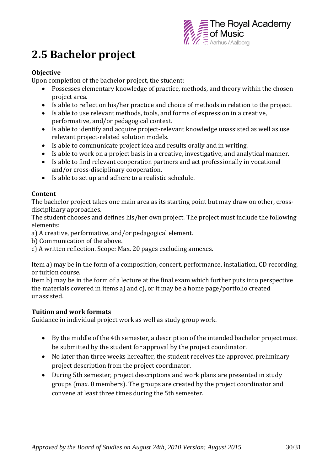

## **2.5 Bachelor project**

#### **Objective**

Upon completion of the bachelor project, the student:

- Possesses elementary knowledge of practice, methods, and theory within the chosen project area.
- Is able to reflect on his/her practice and choice of methods in relation to the project.
- Is able to use relevant methods, tools, and forms of expression in a creative, performative, and/or pedagogical context.
- Is able to identify and acquire project-relevant knowledge unassisted as well as use relevant project-related solution models.
- Is able to communicate project idea and results orally and in writing.
- Is able to work on a project basis in a creative, investigative, and analytical manner.
- Is able to find relevant cooperation partners and act professionally in vocational and/or cross-disciplinary cooperation.
- Is able to set up and adhere to a realistic schedule.

#### **Content**

The bachelor project takes one main area as its starting point but may draw on other, crossdisciplinary approaches.

The student chooses and defines his/her own project. The project must include the following elements:

a) A creative, performative, and/or pedagogical element.

b) Communication of the above.

c) A written reflection. Scope: Max. 20 pages excluding annexes.

Item a) may be in the form of a composition, concert, performance, installation, CD recording, or tuition course.

Item b) may be in the form of a lecture at the final exam which further puts into perspective the materials covered in items a) and c), or it may be a home page/portfolio created unassisted.

#### **Tuition and work formats**

Guidance in individual project work as well as study group work.

- By the middle of the 4th semester, a description of the intended bachelor project must be submitted by the student for approval by the project coordinator.
- No later than three weeks hereafter, the student receives the approved preliminary project description from the project coordinator.
- During 5th semester, project descriptions and work plans are presented in study groups (max. 8 members). The groups are created by the project coordinator and convene at least three times during the 5th semester.